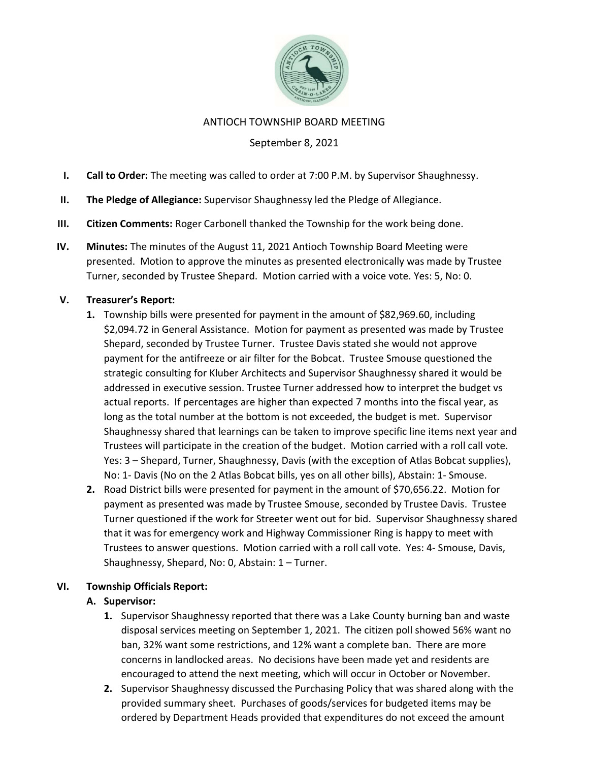

### ANTIOCH TOWNSHIP BOARD MEETING

# September 8, 2021

- I. Call to Order: The meeting was called to order at 7:00 P.M. by Supervisor Shaughnessy.
- II. The Pledge of Allegiance: Supervisor Shaughnessy led the Pledge of Allegiance.
- III. Citizen Comments: Roger Carbonell thanked the Township for the work being done.
- IV. Minutes: The minutes of the August 11, 2021 Antioch Township Board Meeting were presented. Motion to approve the minutes as presented electronically was made by Trustee Turner, seconded by Trustee Shepard. Motion carried with a voice vote. Yes: 5, No: 0.

## V. Treasurer's Report:

- 1. Township bills were presented for payment in the amount of \$82,969.60, including \$2,094.72 in General Assistance. Motion for payment as presented was made by Trustee Shepard, seconded by Trustee Turner. Trustee Davis stated she would not approve payment for the antifreeze or air filter for the Bobcat. Trustee Smouse questioned the strategic consulting for Kluber Architects and Supervisor Shaughnessy shared it would be addressed in executive session. Trustee Turner addressed how to interpret the budget vs actual reports. If percentages are higher than expected 7 months into the fiscal year, as long as the total number at the bottom is not exceeded, the budget is met. Supervisor Shaughnessy shared that learnings can be taken to improve specific line items next year and Trustees will participate in the creation of the budget. Motion carried with a roll call vote. Yes: 3 – Shepard, Turner, Shaughnessy, Davis (with the exception of Atlas Bobcat supplies), No: 1- Davis (No on the 2 Atlas Bobcat bills, yes on all other bills), Abstain: 1- Smouse.
- 2. Road District bills were presented for payment in the amount of \$70,656.22. Motion for payment as presented was made by Trustee Smouse, seconded by Trustee Davis. Trustee Turner questioned if the work for Streeter went out for bid. Supervisor Shaughnessy shared that it was for emergency work and Highway Commissioner Ring is happy to meet with Trustees to answer questions. Motion carried with a roll call vote. Yes: 4- Smouse, Davis, Shaughnessy, Shepard, No: 0, Abstain: 1 – Turner.

## VI. Township Officials Report:

#### A. Supervisor:

- 1. Supervisor Shaughnessy reported that there was a Lake County burning ban and waste disposal services meeting on September 1, 2021. The citizen poll showed 56% want no ban, 32% want some restrictions, and 12% want a complete ban. There are more concerns in landlocked areas. No decisions have been made yet and residents are encouraged to attend the next meeting, which will occur in October or November.
- 2. Supervisor Shaughnessy discussed the Purchasing Policy that was shared along with the provided summary sheet. Purchases of goods/services for budgeted items may be ordered by Department Heads provided that expenditures do not exceed the amount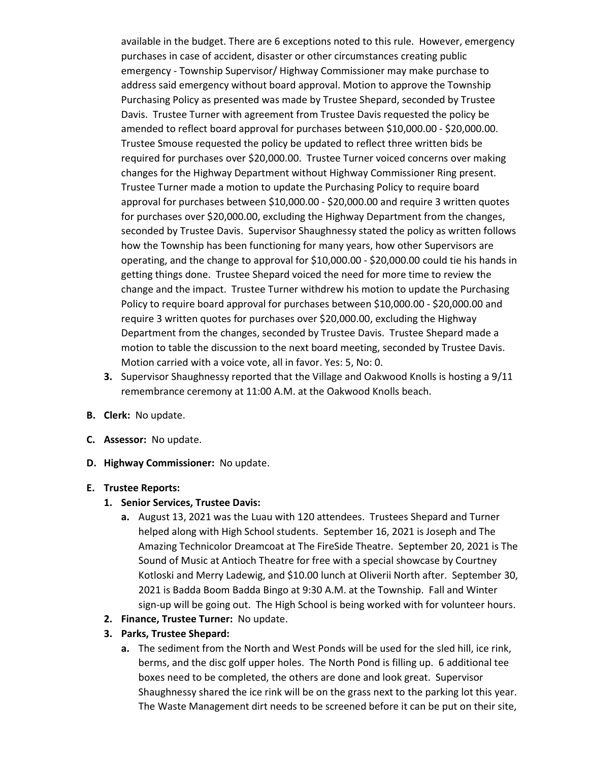available in the budget. There are 6 exceptions noted to this rule. However, emergency purchases in case of accident, disaster or other circumstances creating public emergency - Township Supervisor/ Highway Commissioner may make purchase to address said emergency without board approval. Motion to approve the Township Purchasing Policy as presented was made by Trustee Shepard, seconded by Trustee Davis. Trustee Turner with agreement from Trustee Davis requested the policy be amended to reflect board approval for purchases between \$10,000.00 - \$20,000.00. Trustee Smouse requested the policy be updated to reflect three written bids be required for purchases over \$20,000.00. Trustee Turner voiced concerns over making changes for the Highway Department without Highway Commissioner Ring present. Trustee Turner made a motion to update the Purchasing Policy to require board approval for purchases between \$10,000.00 - \$20,000.00 and require 3 written quotes for purchases over \$20,000.00, excluding the Highway Department from the changes, seconded by Trustee Davis. Supervisor Shaughnessy stated the policy as written follows how the Township has been functioning for many years, how other Supervisors are operating, and the change to approval for \$10,000.00 - \$20,000.00 could tie his hands in getting things done. Trustee Shepard voiced the need for more time to review the change and the impact. Trustee Turner withdrew his motion to update the Purchasing Policy to require board approval for purchases between \$10,000.00 - \$20,000.00 and require 3 written quotes for purchases over \$20,000.00, excluding the Highway Department from the changes, seconded by Trustee Davis. Trustee Shepard made a motion to table the discussion to the next board meeting, seconded by Trustee Davis. Motion carried with a voice vote, all in favor. Yes: 5, No: 0.

- 3. Supervisor Shaughnessy reported that the Village and Oakwood Knolls is hosting a 9/11 remembrance ceremony at 11:00 A.M. at the Oakwood Knolls beach.
- B. Clerk: No update.
- C. Assessor: No update.
- D. Highway Commissioner: No update.

#### E. Trustee Reports:

- 1. Senior Services, Trustee Davis:
	- a. August 13, 2021 was the Luau with 120 attendees. Trustees Shepard and Turner helped along with High School students. September 16, 2021 is Joseph and The Amazing Technicolor Dreamcoat at The FireSide Theatre. September 20, 2021 is The Sound of Music at Antioch Theatre for free with a special showcase by Courtney Kotloski and Merry Ladewig, and \$10.00 lunch at Oliverii North after. September 30, 2021 is Badda Boom Badda Bingo at 9:30 A.M. at the Township. Fall and Winter sign-up will be going out. The High School is being worked with for volunteer hours.
- 2. Finance, Trustee Turner: No update.
- 3. Parks, Trustee Shepard:
	- a. The sediment from the North and West Ponds will be used for the sled hill, ice rink, berms, and the disc golf upper holes. The North Pond is filling up. 6 additional tee boxes need to be completed, the others are done and look great. Supervisor Shaughnessy shared the ice rink will be on the grass next to the parking lot this year. The Waste Management dirt needs to be screened before it can be put on their site,